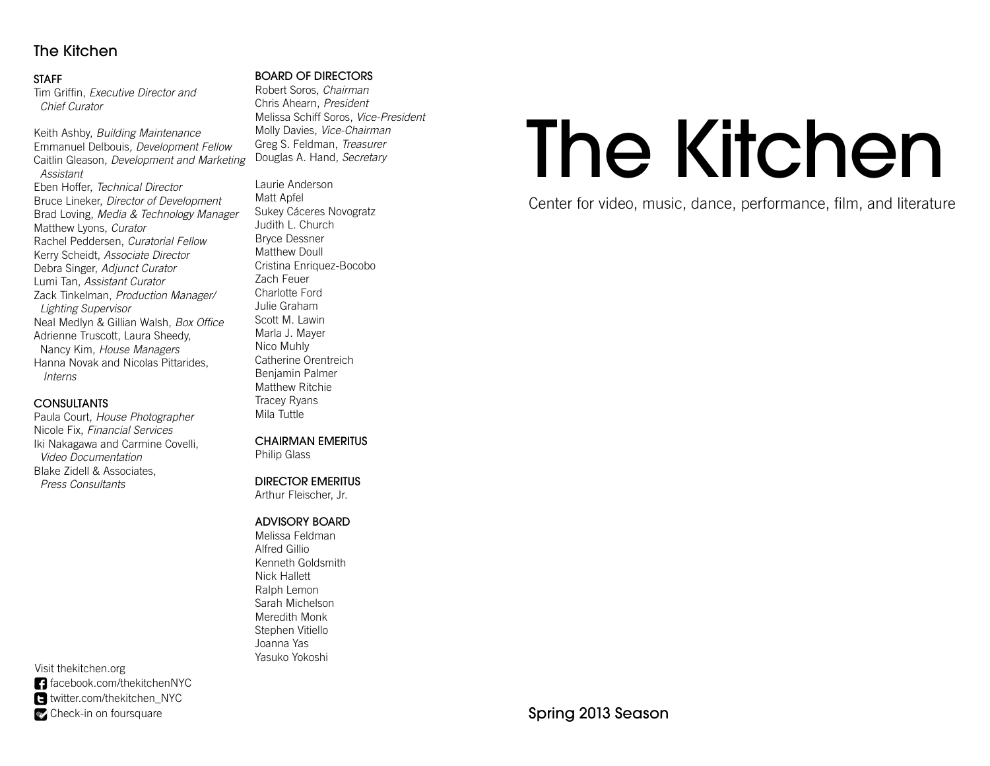# The Kitchen

#### STAFF

Tim Griffin, *Executive Director and* Chief Curator

Keith Ashby, Building Maintenance Emmanuel Delbouis, Development FellowCaitlin Gleason*, Development and Marketing*  Assistant Eben Hoffer, Technical Director Bruce Lineker, Director of Development Brad Loving, Media & Technology Manager Matthew Lyons, CuratorRachel Peddersen, Curatorial Fellow Kerry Scheidt, Associate DirectorDebra Singer, Adjunct CuratorLumi Tan, Assistant CuratorZack Tinkelman, Production Manager/ Lighting Supervisor Neal Medlyn & Gillian Walsh, Box Office Adrienne Truscott, Laura Sheedy, Nancy Kim, House Managers Hanna Novak and Nicolas Pittarides, Interns

#### **CONSULTANTS**

 Paula Court, House PhotographerNicole Fix, Financial Services Iki Nakagawa and Carmine Covelli, Video Documentation Blake Zidell & Associates, Press Consultants

Visit thekitchen.org facebook.com/thekitchenNYC twitter.com/thekitchen\_NYC Check-in on foursquare

#### BOARD OF DIRECTORS

Robert Soros, *Chairman* Chris Ahearn, *President* Melissa Schiff Soros, Vice-President Molly Davies, Vice-Chairman Greg S. Feldman, Treasurer Douglas A. Hand, Secretary

Laurie AndersonMatt ApfelSukey Cáceres NovogratzJudith L. ChurchBryce Dessner Matthew Doull Cristina Enriquez-BocoboZach Feuer Charlotte Ford Julie Graham Scott M. Lawin Marla J. MayerNico Muhly Catherine OrentreichBenjamin Palmer Matthew RitchieTracey RyansMila Tuttle

CHAIRMAN EMERITUS

Philip Glass

# DIRECTOR EMERITUS

Arthur Fleischer, Jr.

# ADVISORY BOARD

Melissa FeldmanAlfred Gillio Kenneth GoldsmithNick Hallett Ralph Lemon Sarah Michelson Meredith Monk Stephen VitielloJoanna YasYasuko Yokoshi

# The Kitchen

Center for video, music, dance, performance, film, and literature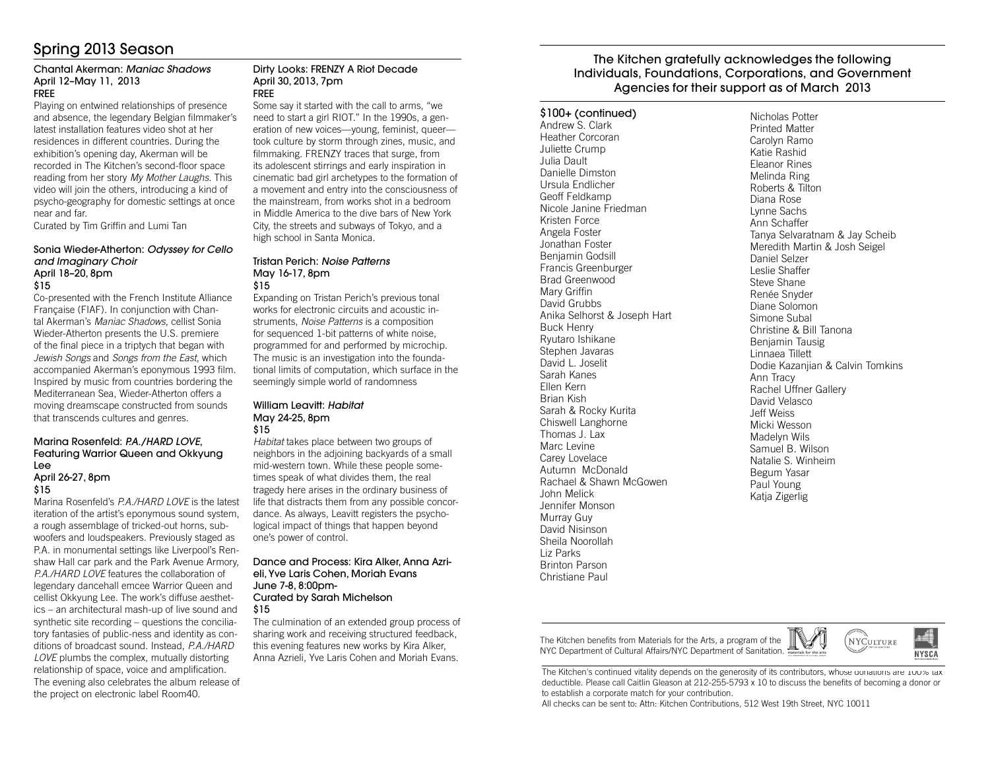# Spring 2013 Season

#### Chantal Akerman: Maniac ShadowsApril 12–May 11, 2013FREE

 Playing on entwined relationships of presence and absence, the legendary Belgian filmmaker's latest installation features video shot at her residences in different countries. During the exhibition's opening day, Akerman will be recorded in The Kitchen's second-floor space reading from her story My Mother Laughs. This video will join the others, introducing a kind of psycho-geography for domestic settings at once near and far.

Curated by Tim Griffin and Lumi Tan

#### Sonia Wieder-Atherton: Odyssey for Cello and Imaginary ChoirApril 18–20, 8pm\$15

 Co-presented with the French Institute Alliance Française (FIAF). In conjunction with Chantal Akerman's Maniac Shadows, cellist Sonia Wieder-Atherton presents the U.S. premiere of the final piece in a triptych that began with Jewish Songs and Songs from the East, which accompanied Akerman's eponymous 1993 film. Inspired by music from countries bordering the Mediterranean Sea, Wieder-Atherton offers a moving dreamscape constructed from sounds that transcends cultures and genres.

#### Marina Rosenfeld: P.A./HARD LOVE, Featuring Warrior Queen and Okkyung LeeApril 26-27, 8pm

#### \$15

Marina Rosenfeld's *P.A./HARD LOVE* is the latest iteration of the artist's eponymous sound system, a rough assemblage of tricked-out horns, subwoofers and loudspeakers. Previously staged as P.A. in monumental settings like Liverpool's Renshaw Hall car park and the Park Avenue Armory, P.A./HARD LOVE features the collaboration of legendary dancehall emcee Warrior Queen and cellist Okkyung Lee. The work's diffuse aesthetics – an architectural mash-up of live sound and synthetic site recording – questions the conciliatory fantasies of public-ness and identity as conditions of broadcast sound. Instead, P.A./HARD LOVE plumbs the complex, mutually distorting relationship of space, voice and amplification. The evening also celebrates the album release of the project on electronic label Room40.

#### Dirty Looks: FRENZY A Riot DecadeApril 30, 2013, 7pmFREE

 Some say it started with the call to arms, "we need to start a girl RIOT." In the 1990s, a generation of new voices—young, feminist, queer took culture by storm through zines, music, and filmmaking. FRENZY traces that surge, from its adolescent stirrings and early inspiration in cinematic bad girl archetypes to the formation of a movement and entry into the consciousness of the mainstream, from works shot in a bedroom in Middle America to the dive bars of New York City, the streets and subways of Tokyo, and a high school in Santa Monica.

#### Tristan Perich: Noise PatternsMay 16-17, 8pm\$15

 Expanding on Tristan Perich's previous tonal works for electronic circuits and acoustic instruments, Noise Patterns is a composition for sequenced 1-bit patterns of white noise, programmed for and performed by microchip. The music is an investigation into the foundational limits of computation, which surface in the seemingly simple world of randomness

#### William Leavitt: HabitatMay 24-25, 8pm\$15

Habitat takes place between two groups of neighbors in the adjoining backyards of a small mid-western town. While these people sometimes speak of what divides them, the real tragedy here arises in the ordinary business of life that distracts them from any possible concordance. As always, Leavitt registers the psychological impact of things that happen beyond one's power of control.

#### Dance and Process: Kira Alker, Anna Azrieli, Yve Laris Cohen, Moriah EvansJune 7-8, 8:00pm-Curated by Sarah Michelson \$15

 The culmination of an extended group process of sharing work and receiving structured feedback, this evening features new works by Kira Alker, Anna Azrieli, Yve Laris Cohen and Moriah Evans.

#### The Kitchen gratefully acknowledges the following Individuals, Foundations, Corporations, and Government Agencies for their support as of March 2013

#### \$100+ (continued)

Andrew S. Clark Heather CorcoranJuliette CrumpJulia Dault Danielle Dimston Ursula Endlicher Geoff Feldkamp Nicole Janine FriedmanKristen Force Angela Foster Jonathan Foster Benjamin Godsill Francis GreenburgerBrad GreenwoodMary Griffin David Grubbs Anika Selhorst & Joseph HartBuck Henry Ryutaro Ishikane Stephen Javaras David L. JoselitSarah KanesEllen Kern Brian Kish Sarah & Rocky KuritaChiswell LanghorneThomas J. LaxMarc Levine Carey Lovelace Autumn McDonald Rachael & Shawn McGowenJohn Melick Jennifer MonsonMurray Guy David Nisinson Sheila NoorollahLiz Parks Brinton ParsonChristiane Paul

Nicholas Potter Printed Matter Carolyn Ramo Katie Rashid Eleanor Rines Melinda Ring Roberts & TiltonDiana Rose Lynne Sachs Ann Schaffer Tanya Selvaratnam & Jay ScheibMeredith Martin & Josh SeigelDaniel Selzer Leslie Shaffer Steve Shane Renée Snyder Diane Solomon Simone Subal Christine & Bill TanonaBenjamin TausigLinnaea Tillett Dodie Kazanjian & Calvin TomkinsAnn Tracy Rachel Uffner GalleryDavid VelascoJeff Weiss Micki Wesson Madelyn Wils Samuel B. Wilson Natalie S. Winheim Begum YasarPaul YoungKatja Zigerlig

The Kitchen benefits from Materials for the Arts, a program of the NYC Department of Cultural Affairs/NYC Department of Sanitation.



**NYSCA** 

All checks can be sent to: Attn: Kitchen Contributions, 512 West 19th Street, NYC 10011

The Kitchen's continued vitality depends on the generosity of its contributors, whose donations are 100% tax deductible. Please call Caitlin Gleason at 212-255-5793 x 10 to discuss the benefits of becoming a donor or to establish a corporate match for your contribution.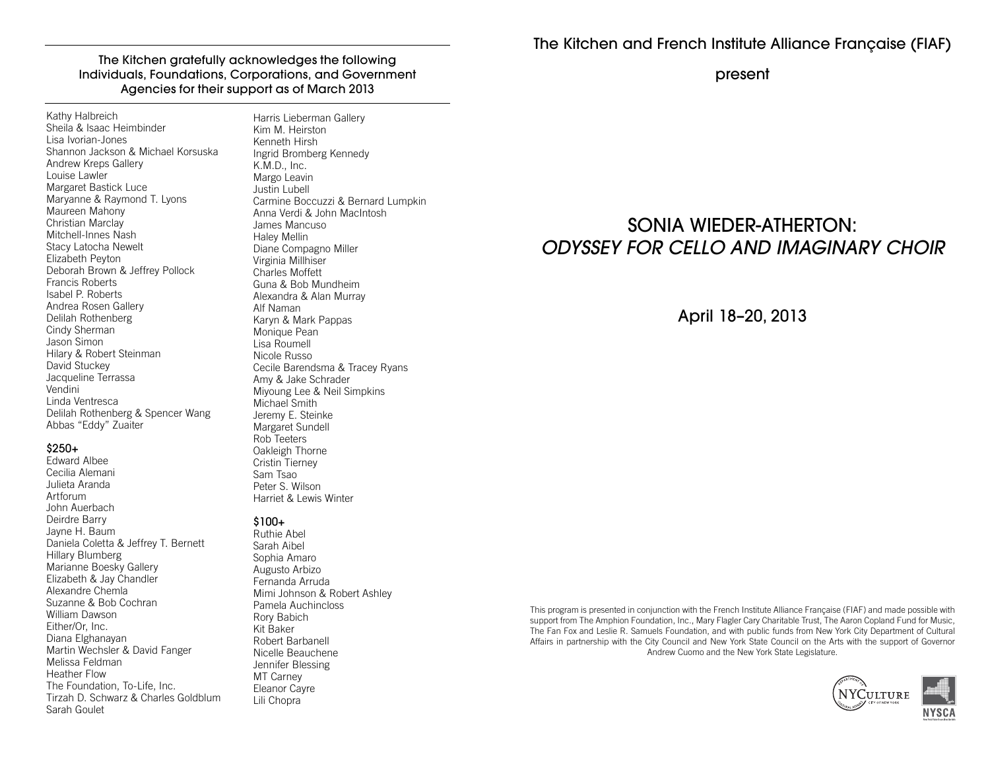The Kitchen gratefully acknowledges the following Individuals, Foundations, Corporations, and Government Agencies for their support as of March 2013

Kathy Halbreich Sheila & Isaac HeimbinderLisa Ivorian-Jones Shannon Jackson & Michael KorsuskaAndrew Kreps GalleryLouise Lawler Margaret Bastick Luce Maryanne & Raymond T. LyonsMaureen Mahony Christian Marclay Mitchell-Innes Nash Stacy Latocha NeweltElizabeth Peyton Deborah Brown & Jeffrey PollockFrancis Roberts Isabel P. Roberts Andrea Rosen GalleryDelilah RothenbergCindy ShermanJason Simon Hilary & Robert SteinmanDavid Stuckey Jacqueline TerrassaVendini Linda Ventresca Delilah Rothenberg & Spencer WangAbbas "Eddy" Zuaiter

#### \$250+

 Edward Albee Cecilia Alemani Julieta ArandaArtforum John Auerbach Deirdre Barry Jayne H. Baum Daniela Coletta & Jeffrey T. BernettHillary Blumberg Marianne Boesky Gallery Elizabeth & Jay ChandlerAlexandre Chemla Suzanne & Bob CochranWilliam DawsonEither/Or, Inc. Diana Elghanayan Martin Wechsler & David FangerMelissa FeldmanHeather Flow The Foundation, To-Life, Inc. Tirzah D. Schwarz & Charles GoldblumSarah Goulet

Harris Lieberman GalleryKim M. HeirstonKenneth Hirsh Ingrid Bromberg KennedyK.M.D., Inc. Margo Leavin Justin Lubell Carmine Boccuzzi & Bernard LumpkinAnna Verdi & John MacIntoshJames MancusoHaley Mellin Diane Compagno MillerVirginia Millhiser Charles Moffett Guna & Bob Mundheim Alexandra & Alan MurrayAlf Naman Karyn & Mark PappasMonique Pean Lisa Roumell Nicole Russo Cecile Barendsma & Tracey RyansAmy & Jake Schrader Miyoung Lee & Neil SimpkinsMichael Smith Jeremy E. Steinke Margaret SundellRob Teeters Oakleigh ThorneCristin TierneySam TsaoPeter S. Wilson

#### \$100+

 Ruthie Abel Sarah Aibel Sophia Amaro Augusto Arbizo Fernanda Arruda Mimi Johnson & Robert AshleyPamela AuchinclossRory BabichKit Baker Robert Barbanell Nicelle BeaucheneJennifer BlessingMT Carney Eleanor CayreLili Chopra

Harriet & Lewis Winter

present

# SONIA WIEDER-ATHERTON:ODYSSEY FOR CELLO AND IMAGINARY CHOIR

April 18–20, 2013

This program is presented in conjunction with the French Institute Alliance Française (FIAF) and made possible with support from The Amphion Foundation, Inc., Mary Flagler Cary Charitable Trust, The Aaron Copland Fund for Music, The Fan Fox and Leslie R. Samuels Foundation, and with public funds from New York City Department of Cultural Affairs in partnership with the City Council and New York State Council on the Arts with the support of Governor Andrew Cuomo and the New York State Legislature.

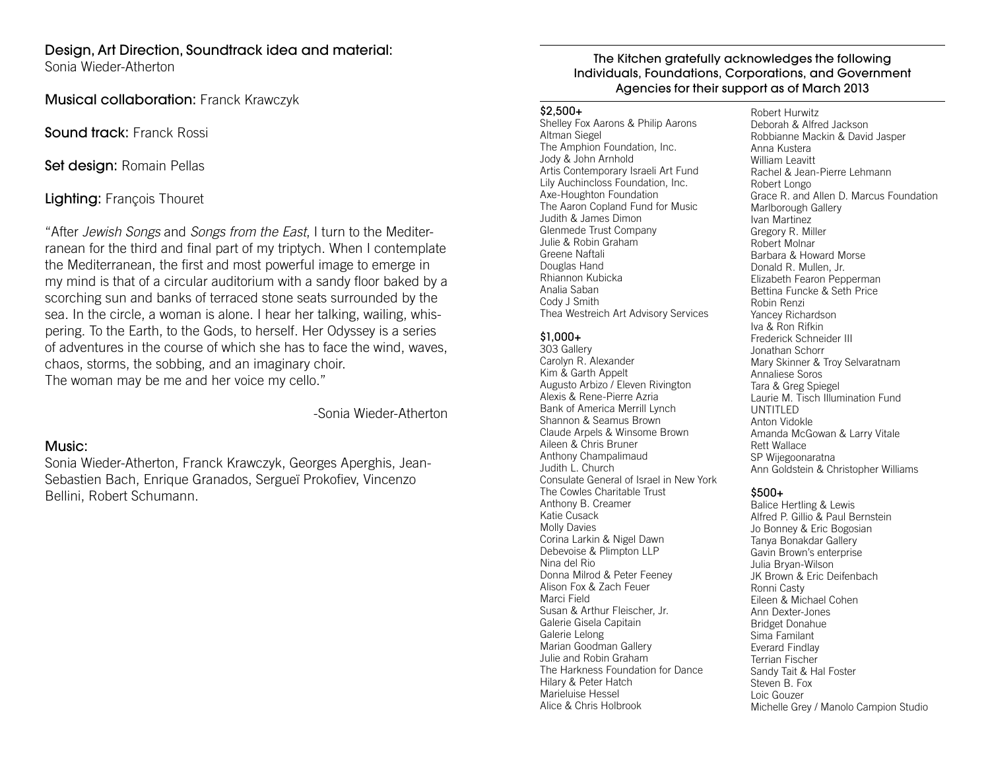# Design, Art Direction, Soundtrack idea and material:

Sonia Wieder-Atherton

Musical collaboration: Franck Krawczyk

Sound track: Franck Rossi

Set design: Romain Pellas

Lighting: François Thouret

"After Jewish Songs and Songs from the East, I turn to the Mediterranean for the third and final part of my triptych. When I contemplate the Mediterranean, the first and most powerful image to emerge in my mind is that of a circular auditorium with a sandy floor baked by a scorching sun and banks of terraced stone seats surrounded by the sea. In the circle, a woman is alone. I hear her talking, wailing, whispering. To the Earth, to the Gods, to herself. Her Odyssey is a series of adventures in the course of which she has to face the wind, waves, chaos, storms, the sobbing, and an imaginary choir.The woman may be me and her voice my cello."

-Sonia Wieder-Atherton

# Music:

Sonia Wieder-Atherton, Franck Krawczyk, Georges Aperghis, Jean-Sebastien Bach, Enrique Granados, Sergueï Prokofiev, Vincenzo Bellini, Robert Schumann.

# The Kitchen gratefully acknowledges the following Individuals, Foundations, Corporations, and Government Agencies for their support as of March 2013

#### $$2.500+$

 Shelley Fox Aarons & Philip AaronsAltman Siegel The Amphion Foundation, Inc.Jody & John Arnhold Artis Contemporary Israeli Art FundLily Auchincloss Foundation, Inc.Axe-Houghton Foundation The Aaron Copland Fund for MusicJudith & James Dimon Glenmede Trust CompanyJulie & Robin GrahamGreene Naftali Douglas Hand Rhiannon KubickaAnalia Saban Cody J SmithThea Westreich Art Advisory Services

# \$1,000+

 303 Gallery Carolyn R. AlexanderKim & Garth Appelt Augusto Arbizo / Eleven RivingtonAlexis & Rene-Pierre Azria Bank of America Merrill LynchShannon & Seamus Brown Claude Arpels & Winsome BrownAileen & Chris Bruner Anthony ChampalimaudJudith L. Church Consulate General of Israel in New YorkThe Cowles Charitable TrustAnthony B. CreamerKatie Cusack Molly Davies Corina Larkin & Nigel Dawn Debevoise & Plimpton LLPNina del Rio Donna Milrod & Peter FeeneyAlison Fox & Zach FeuerMarci Field Susan & Arthur Fleischer, Jr.Galerie Gisela CapitainGalerie Lelong Marian Goodman Gallery Julie and Robin Graham The Harkness Foundation for Dance Hilary & Peter HatchMarieluise HesselAlice & Chris Holbrook

Robert Hurwitz Deborah & Alfred Jackson Robbianne Mackin & David JasperAnna Kustera William Leavitt Rachel & Jean-Pierre LehmannRobert Longo Grace R. and Allen D. Marcus FoundationMarlborough GalleryIvan Martinez Gregory R. MillerRobert Molnar Barbara & Howard MorseDonald R. Mullen, Jr. Elizabeth Fearon Pepperman Bettina Funcke & Seth PriceRobin Renzi Yancey RichardsonIva & Ron Rifkin Frederick Schneider IIIJonathan Schorr Mary Skinner & Troy SelvaratnamAnnaliese Soros Tara & Greg Spiegel Laurie M. Tisch Illumination FundUNTITLED Anton Vidokle Amanda McGowan & Larry VitaleRett Wallace SP WijegoonaratnaAnn Goldstein & Christopher Williams

# $$500+$

 Balice Hertling & Lewis Alfred P. Gillio & Paul BernsteinJo Bonney & Eric BogosianTanya Bonakdar Gallery Gavin Brown's enterpriseJulia Bryan-Wilson JK Brown & Eric DeifenbachRonni Casty Eileen & Michael CohenAnn Dexter-Jones Bridget DonahueSima Familant Everard Findlay Terrian Fischer Sandy Tait & Hal FosterSteven B. FoxLoic GouzerMichelle Grey / Manolo Campion Studio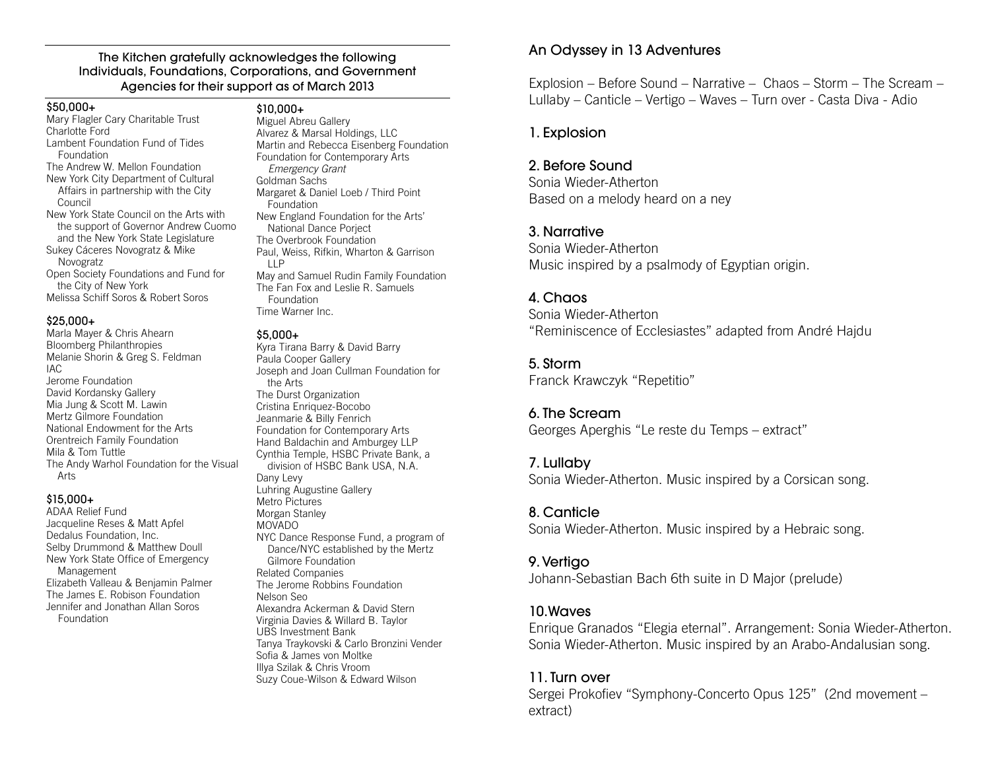#### The Kitchen gratefully acknowledges the following Individuals, Foundations, Corporations, and Government Agencies for their support as of March 2013

#### \$50,000+

 Mary Flagler Cary Charitable TrustCharlotte Ford Lambent Foundation Fund of Tides Foundation The Andrew W. Mellon Foundation New York City Department of Cultural Affairs in partnership with the City Council New York State Council on the Arts with the support of Governor Andrew Cuomo and the New York State LegislatureSukey Cáceres Novogratz & Mike Novogratz Open Society Foundations and Fund for the City of New YorkMelissa Schiff Soros & Robert Soros

#### \$25,000+

 Marla Mayer & Chris Ahearn Bloomberg Philanthropies Melanie Shorin & Greg S. FeldmanIAC Jerome Foundation David Kordansky Gallery Mia Jung & Scott M. Lawin Mertz Gilmore Foundation National Endowment for the ArtsOrentreich Family FoundationMila & Tom Tuttle The Andy Warhol Foundation for the Visual Arts

#### \$15,000+

 ADAA Relief Fund Jacqueline Reses & Matt ApfelDedalus Foundation, Inc. Selby Drummond & Matthew DoullNew York State Office of Emergency Management Elizabeth Valleau & Benjamin PalmerThe James E. Robison Foundation Jennifer and Jonathan Allan Soros Foundation

# \$10,000+

 Miguel Abreu Gallery Alvarez & Marsal Holdings, LLC Martin and Rebecca Eisenberg FoundationFoundation for Contemporary Arts Emergency GrantGoldman Sachs Margaret & Daniel Loeb / Third Point Foundation New England Foundation for the Arts' National Dance Porject The Overbrook Foundation Paul, Weiss, Rifkin, Wharton & Garrison LLP May and Samuel Rudin Family FoundationThe Fan Fox and Leslie R. Samuels Foundation

#### \$5,000+

Time Warner Inc.

 Kyra Tirana Barry & David BarryPaula Cooper Gallery Joseph and Joan Cullman Foundation for the Arts The Durst Organization Cristina Enriquez-Bocobo Jeanmarie & Billy Fenrich Foundation for Contemporary Arts Hand Baldachin and Amburgey LLP Cynthia Temple, HSBC Private Bank, a division of HSBC Bank USA, N.A.Dany Levy Luhring Augustine GalleryMetro Pictures Morgan StanleyMOVADO NYC Dance Response Fund, a program of Dance/NYC established by the Mertz Gilmore FoundationRelated Companies The Jerome Robbins FoundationNelson Seo Alexandra Ackerman & David Stern Virginia Davies & Willard B. TaylorUBS Investment Bank Tanya Traykovski & Carlo Bronzini VenderSofia & James von Moltke Illya Szilak & Chris VroomSuzy Coue-Wilson & Edward Wilson

# An Odyssey in 13 Adventures

Explosion – Before Sound – Narrative – Chaos – Storm – The Scream – Lullaby – Canticle – Vertigo – Waves – Turn over - Casta Diva - Adio

# 1. Explosion

# 2. Before Sound

 Sonia Wieder-AthertonBased on a melody heard on a ney

# 3. Narrative

 Sonia Wieder-AthertonMusic inspired by a psalmody of Egyptian origin.

# 4. Chaos

 Sonia Wieder-Atherton"Reminiscence of Ecclesiastes" adapted from André Hajdu

# 5. Storm

Franck Krawczyk "Repetitio"

# 6. The Scream

Georges Aperghis "Le reste du Temps – extract"

# 7. Lullaby

Sonia Wieder-Atherton. Music inspired by a Corsican song.

# 8. Canticle

Sonia Wieder-Atherton. Music inspired by a Hebraic song.

# 9. Vertigo

Johann-Sebastian Bach 6th suite in D Major (prelude)

# 10.Waves

 Enrique Granados "Elegia eternal". Arrangement: Sonia Wieder-Atherton. Sonia Wieder-Atherton. Music inspired by an Arabo-Andalusian song.

# 11. Turn over

Sergei Prokofiev "Symphony-Concerto Opus 125" (2nd movement extract)